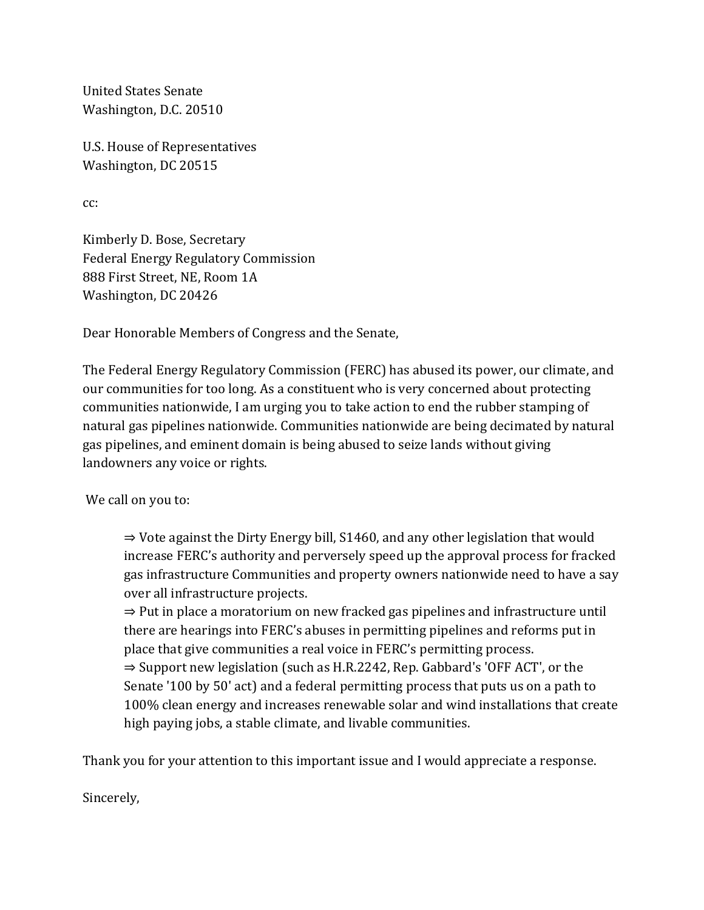United States Senate Washington, D.C. 20510

U.S. House of Representatives Washington, DC 20515

cc:

Kimberly D. Bose, Secretary Federal Energy Regulatory Commission 888 First Street, NE, Room 1A Washington, DC 20426

Dear Honorable Members of Congress and the Senate,

The Federal Energy Regulatory Commission (FERC) has abused its power, our climate, and our communities for too long. As a constituent who is very concerned about protecting communities nationwide, I am urging you to take action to end the rubber stamping of natural gas pipelines nationwide. Communities nationwide are being decimated by natural gas pipelines, and eminent domain is being abused to seize lands without giving landowners any voice or rights.

We call on you to:

⇒ Vote against the Dirty Energy bill, S1460, and any other legislation that would increase FERC's authority and perversely speed up the approval process for fracked gas infrastructure Communities and property owners nationwide need to have a say over all infrastructure projects.

⇒ Put in place a moratorium on new fracked gas pipelines and infrastructure until there are hearings into FERC's abuses in permitting pipelines and reforms put in place that give communities a real voice in FERC's permitting process. ⇒ Support new legislation (such as H.R.2242, Rep. Gabbard's 'OFF ACT', or the Senate '100 by 50' act) and a federal permitting process that puts us on a path to 100% clean energy and increases renewable solar and wind installations that create high paying jobs, a stable climate, and livable communities.

Thank you for your attention to this important issue and I would appreciate a response.

Sincerely,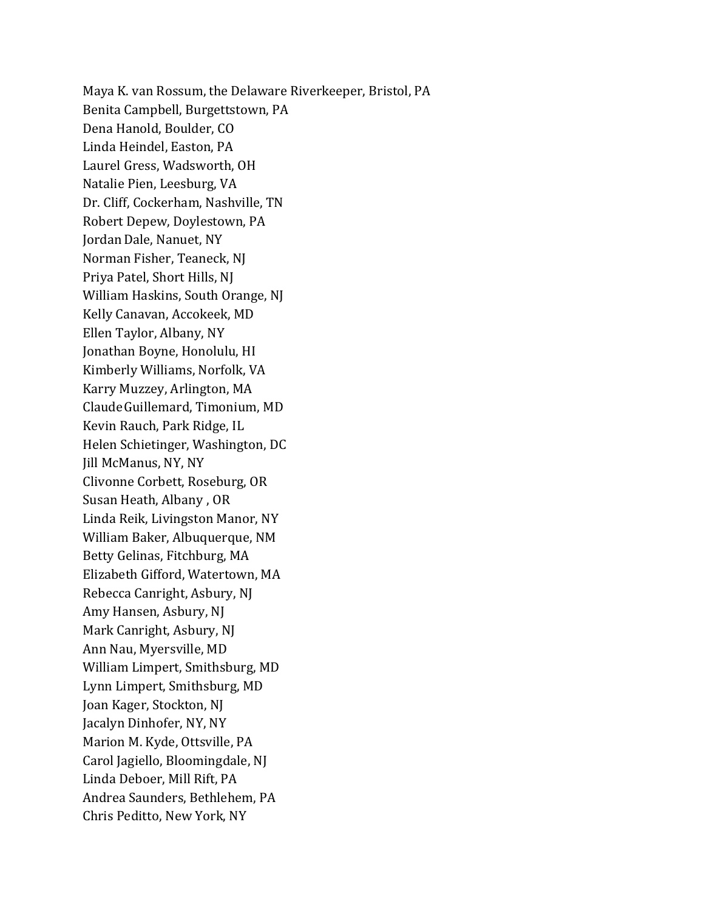Maya K. van Rossum, the Delaware Riverkeeper, Bristol, PA Benita Campbell, Burgettstown, PA Dena Hanold, Boulder, CO Linda Heindel, Easton, PA Laurel Gress, Wadsworth, OH Natalie Pien, Leesburg, VA Dr. Cliff, Cockerham, Nashville, TN Robert Depew, Doylestown, PA Jordan Dale, Nanuet, NY Norman Fisher, Teaneck, NJ Priya Patel, Short Hills, NJ William Haskins, South Orange, NJ Kelly Canavan, Accokeek, MD Ellen Taylor, Albany, NY Jonathan Boyne, Honolulu, HI Kimberly Williams, Norfolk, VA Karry Muzzey, Arlington, MA ClaudeGuillemard, Timonium, MD Kevin Rauch, Park Ridge, IL Helen Schietinger, Washington, DC Jill McManus, NY, NY Clivonne Corbett, Roseburg, OR Susan Heath, Albany , OR Linda Reik, Livingston Manor, NY William Baker, Albuquerque, NM Betty Gelinas, Fitchburg, MA Elizabeth Gifford, Watertown, MA Rebecca Canright, Asbury, NJ Amy Hansen, Asbury, NJ Mark Canright, Asbury, NJ Ann Nau, Myersville, MD William Limpert, Smithsburg, MD Lynn Limpert, Smithsburg, MD Joan Kager, Stockton, NJ Jacalyn Dinhofer, NY, NY Marion M. Kyde, Ottsville, PA Carol Jagiello, Bloomingdale, NJ Linda Deboer, Mill Rift, PA Andrea Saunders, Bethlehem, PA Chris Peditto, New York, NY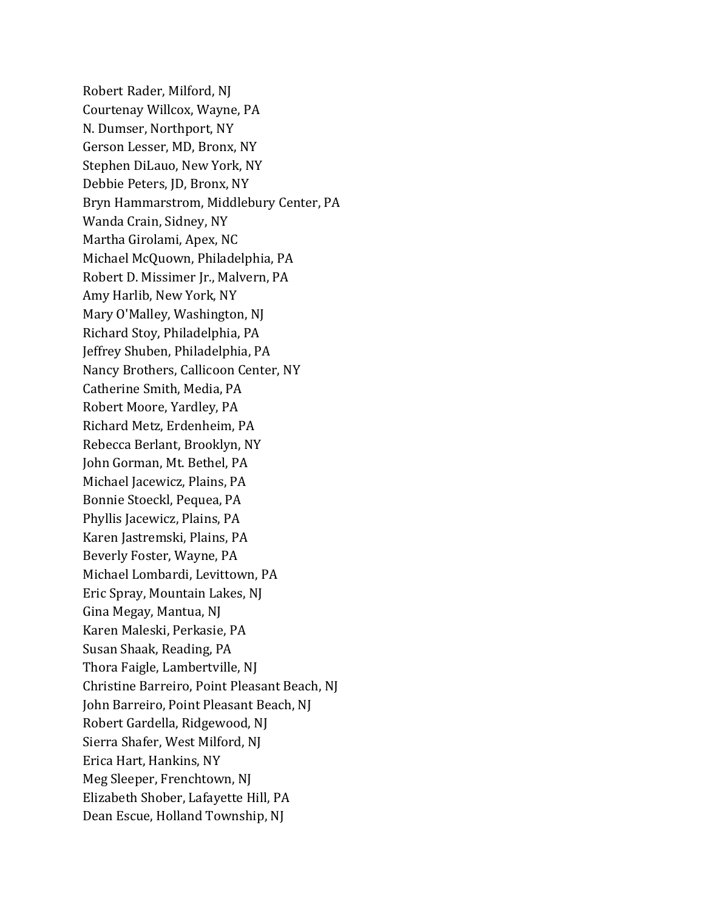Robert Rader, Milford, NJ Courtenay Willcox, Wayne, PA N. Dumser, Northport, NY Gerson Lesser, MD, Bronx, NY Stephen DiLauo, New York, NY Debbie Peters, JD, Bronx, NY Bryn Hammarstrom, Middlebury Center, PA Wanda Crain, Sidney, NY Martha Girolami, Apex, NC Michael McQuown, Philadelphia, PA Robert D. Missimer Jr., Malvern, PA Amy Harlib, New York, NY Mary O'Malley, Washington, NJ Richard Stoy, Philadelphia, PA Jeffrey Shuben, Philadelphia, PA Nancy Brothers, Callicoon Center, NY Catherine Smith, Media, PA Robert Moore, Yardley, PA Richard Metz, Erdenheim, PA Rebecca Berlant, Brooklyn, NY John Gorman, Mt. Bethel, PA Michael Jacewicz, Plains, PA Bonnie Stoeckl, Pequea, PA Phyllis Jacewicz, Plains, PA Karen Jastremski, Plains, PA Beverly Foster, Wayne, PA Michael Lombardi, Levittown, PA Eric Spray, Mountain Lakes, NJ Gina Megay, Mantua, NJ Karen Maleski, Perkasie, PA Susan Shaak, Reading, PA Thora Faigle, Lambertville, NJ Christine Barreiro, Point Pleasant Beach, NJ John Barreiro, Point Pleasant Beach, NJ Robert Gardella, Ridgewood, NJ Sierra Shafer, West Milford, NJ Erica Hart, Hankins, NY Meg Sleeper, Frenchtown, NJ Elizabeth Shober, Lafayette Hill, PA Dean Escue, Holland Township, NJ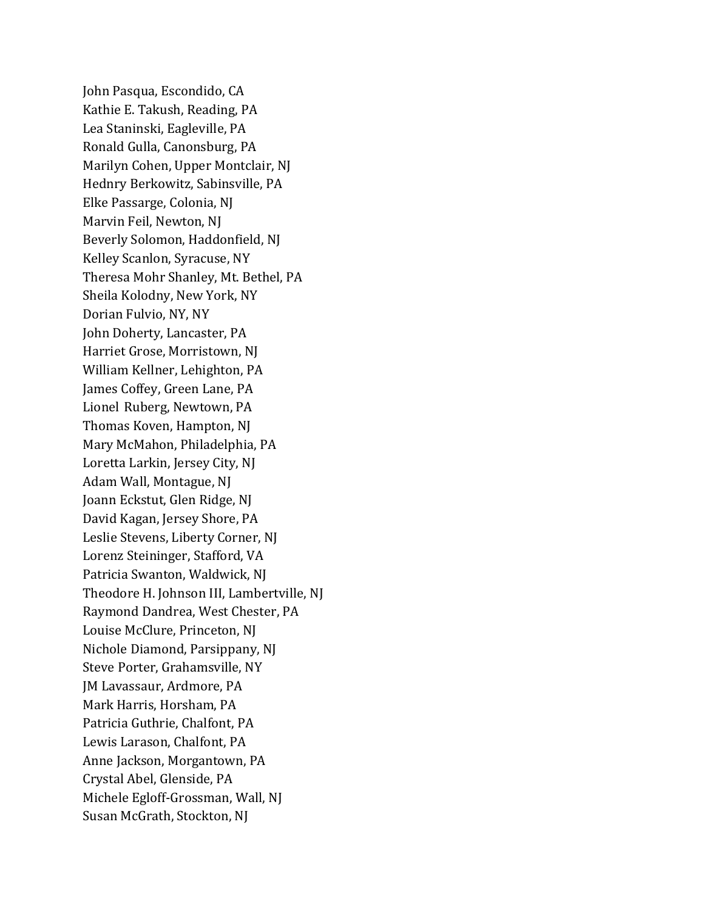John Pasqua, Escondido, CA Kathie E. Takush, Reading, PA Lea Staninski, Eagleville, PA Ronald Gulla, Canonsburg, PA Marilyn Cohen, Upper Montclair, NJ Hednry Berkowitz, Sabinsville, PA Elke Passarge, Colonia, NJ Marvin Feil, Newton, NJ Beverly Solomon, Haddonfield, NJ Kelley Scanlon, Syracuse, NY Theresa Mohr Shanley, Mt. Bethel, PA Sheila Kolodny, New York, NY Dorian Fulvio, NY, NY John Doherty, Lancaster, PA Harriet Grose, Morristown, NJ William Kellner, Lehighton, PA James Coffey, Green Lane, PA Lionel Ruberg, Newtown, PA Thomas Koven, Hampton, NJ Mary McMahon, Philadelphia, PA Loretta Larkin, Jersey City, NJ Adam Wall, Montague, NJ Joann Eckstut, Glen Ridge, NJ David Kagan, Jersey Shore, PA Leslie Stevens, Liberty Corner, NJ Lorenz Steininger, Stafford, VA Patricia Swanton, Waldwick, NJ Theodore H. Johnson III, Lambertville, NJ Raymond Dandrea, West Chester, PA Louise McClure, Princeton, NJ Nichole Diamond, Parsippany, NJ Steve Porter, Grahamsville, NY JM Lavassaur, Ardmore, PA Mark Harris, Horsham, PA Patricia Guthrie, Chalfont, PA Lewis Larason, Chalfont, PA Anne Jackson, Morgantown, PA Crystal Abel, Glenside, PA Michele Egloff-Grossman, Wall, NJ Susan McGrath, Stockton, NJ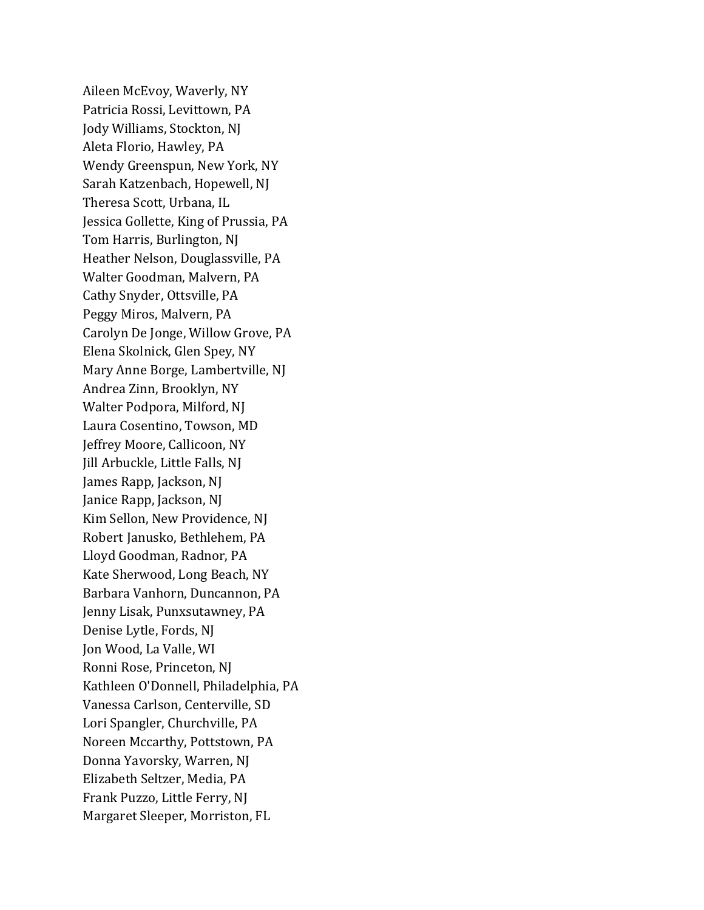Aileen McEvoy, Waverly, NY Patricia Rossi, Levittown, PA Jody Williams, Stockton, NJ Aleta Florio, Hawley, PA Wendy Greenspun, New York, NY Sarah Katzenbach, Hopewell, NJ Theresa Scott, Urbana, IL Jessica Gollette, King of Prussia, PA Tom Harris, Burlington, NJ Heather Nelson, Douglassville, PA Walter Goodman, Malvern, PA Cathy Snyder, Ottsville, PA Peggy Miros, Malvern, PA Carolyn De Jonge, Willow Grove, PA Elena Skolnick, Glen Spey, NY Mary Anne Borge, Lambertville, NJ Andrea Zinn, Brooklyn, NY Walter Podpora, Milford, NJ Laura Cosentino, Towson, MD Jeffrey Moore, Callicoon, NY Jill Arbuckle, Little Falls, NJ James Rapp, Jackson, NJ Janice Rapp, Jackson, NJ Kim Sellon, New Providence, NJ Robert Janusko, Bethlehem, PA Lloyd Goodman, Radnor, PA Kate Sherwood, Long Beach, NY Barbara Vanhorn, Duncannon, PA Jenny Lisak, Punxsutawney, PA Denise Lytle, Fords, NJ Jon Wood, La Valle, WI Ronni Rose, Princeton, NJ Kathleen O'Donnell, Philadelphia, PA Vanessa Carlson, Centerville, SD Lori Spangler, Churchville, PA Noreen Mccarthy, Pottstown, PA Donna Yavorsky, Warren, NJ Elizabeth Seltzer, Media, PA Frank Puzzo, Little Ferry, NJ Margaret Sleeper, Morriston, FL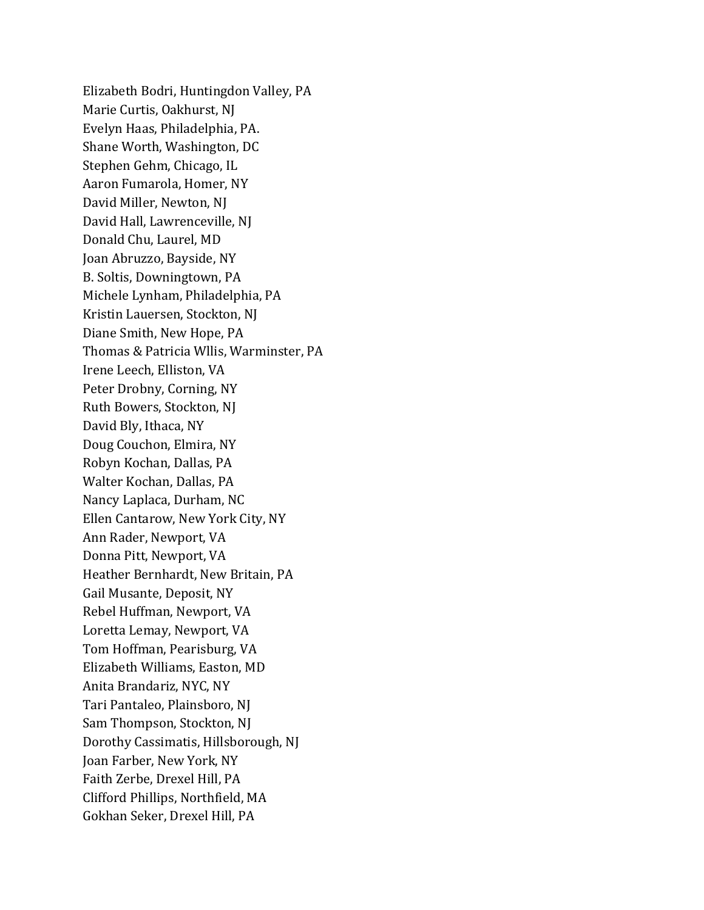Elizabeth Bodri, Huntingdon Valley, PA Marie Curtis, Oakhurst, NJ Evelyn Haas, Philadelphia, PA. Shane Worth, Washington, DC Stephen Gehm, Chicago, IL Aaron Fumarola, Homer, NY David Miller, Newton, NJ David Hall, Lawrenceville, NJ Donald Chu, Laurel, MD Joan Abruzzo, Bayside, NY B. Soltis, Downingtown, PA Michele Lynham, Philadelphia, PA Kristin Lauersen, Stockton, NJ Diane Smith, New Hope, PA Thomas & Patricia Wllis, Warminster, PA Irene Leech, Elliston, VA Peter Drobny, Corning, NY Ruth Bowers, Stockton, NJ David Bly, Ithaca, NY Doug Couchon, Elmira, NY Robyn Kochan, Dallas, PA Walter Kochan, Dallas, PA Nancy Laplaca, Durham, NC Ellen Cantarow, New York City, NY Ann Rader, Newport, VA Donna Pitt, Newport, VA Heather Bernhardt, New Britain, PA Gail Musante, Deposit, NY Rebel Huffman, Newport, VA Loretta Lemay, Newport, VA Tom Hoffman, Pearisburg, VA Elizabeth Williams, Easton, MD Anita Brandariz, NYC, NY Tari Pantaleo, Plainsboro, NJ Sam Thompson, Stockton, NJ Dorothy Cassimatis, Hillsborough, NJ Joan Farber, New York, NY Faith Zerbe, Drexel Hill, PA Clifford Phillips, Northfield, MA Gokhan Seker, Drexel Hill, PA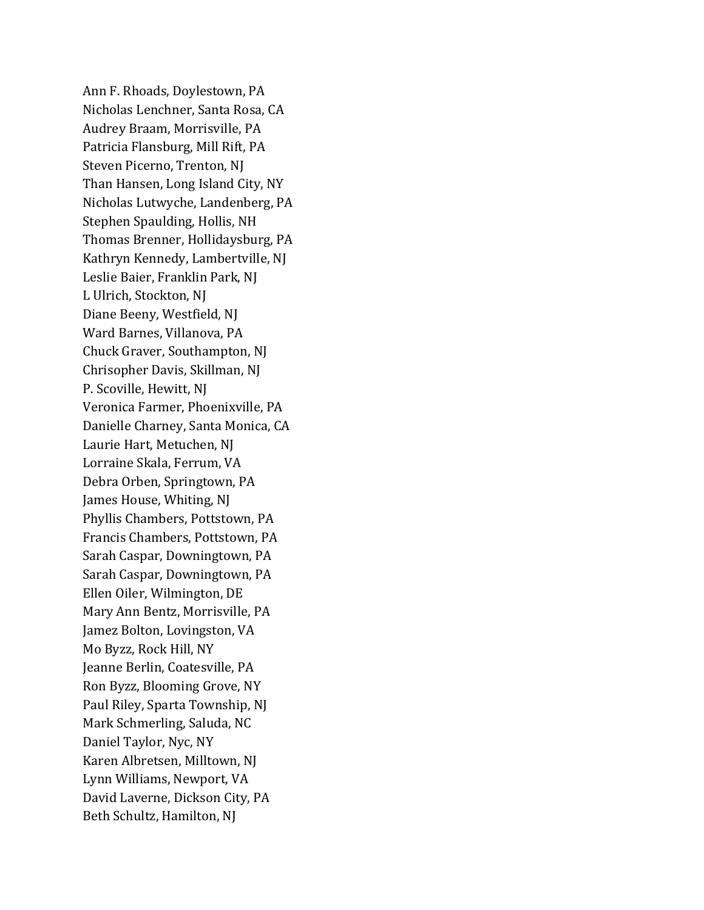Ann F. Rhoads, Doylestown, PA Nicholas Lenchner, Santa Rosa, CA Audrey Braam, Morrisville, PA Patricia Flansburg, Mill Rift, PA Steven Picerno, Trenton, NJ Than Hansen, Long Island City, NY Nicholas Lutwyche, Landenberg, PA Stephen Spaulding, Hollis, NH Thomas Brenner, Hollidaysburg, PA Kathryn Kennedy, Lambertville, NJ Leslie Baier, Franklin Park, NJ L Ulrich, Stockton, NJ Diane Beeny, Westfield, NJ Ward Barnes, Villanova, PA Chuck Graver, Southampton, NJ Chrisopher Davis, Skillman, NJ P. Scoville, Hewitt, NJ Veronica Farmer, Phoenixville, PA Danielle Charney, Santa Monica, CA Laurie Hart, Metuchen, NJ Lorraine Skala, Ferrum, VA Debra Orben, Springtown, PA James House, Whiting, NJ Phyllis Chambers, Pottstown, PA Francis Chambers, Pottstown, PA Sarah Caspar, Downingtown, PA Sarah Caspar, Downingtown, PA Ellen Oiler, Wilmington, DE Mary Ann Bentz, Morrisville, PA Jamez Bolton, Lovingston, VA Mo Byzz, Rock Hill, NY Jeanne Berlin, Coatesville, PA Ron Byzz, Blooming Grove, NY Paul Riley, Sparta Township, NJ Mark Schmerling, Saluda, NC Daniel Taylor, Nyc, NY Karen Albretsen, Milltown, NJ Lynn Williams, Newport, VA David Laverne, Dickson City, PA Beth Schultz, Hamilton, NJ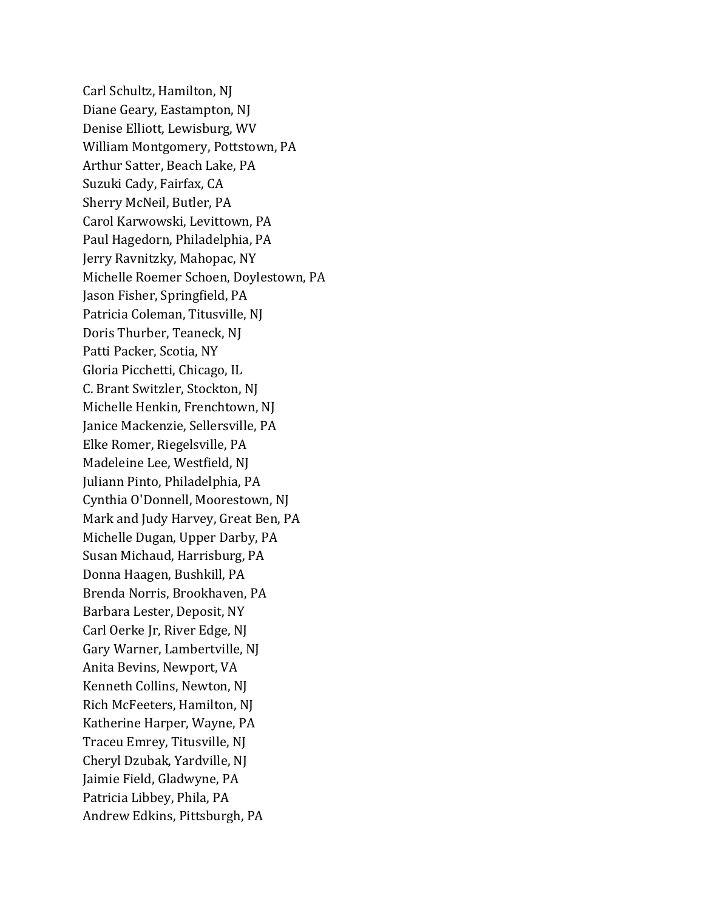Carl Schultz, Hamilton, NJ Diane Geary, Eastampton, NJ Denise Elliott, Lewisburg, WV William Montgomery, Pottstown, PA Arthur Satter, Beach Lake, PA Suzuki Cady, Fairfax, CA Sherry McNeil, Butler, PA Carol Karwowski, Levittown, PA Paul Hagedorn, Philadelphia, PA Jerry Ravnitzky, Mahopac, NY Michelle Roemer Schoen, Doylestown, PA Jason Fisher, Springfield, PA Patricia Coleman, Titusville, NJ Doris Thurber, Teaneck, NJ Patti Packer, Scotia, NY Gloria Picchetti, Chicago, IL C. Brant Switzler, Stockton, NJ Michelle Henkin, Frenchtown, NJ Janice Mackenzie, Sellersville, PA Elke Romer, Riegelsville, PA Madeleine Lee, Westfield, NJ Juliann Pinto, Philadelphia, PA Cynthia O'Donnell, Moorestown, NJ Mark and Judy Harvey, Great Ben, PA Michelle Dugan, Upper Darby, PA Susan Michaud, Harrisburg, PA Donna Haagen, Bushkill, PA Brenda Norris, Brookhaven, PA Barbara Lester, Deposit, NY Carl Oerke Jr, River Edge, NJ Gary Warner, Lambertville, NJ Anita Bevins, Newport, VA Kenneth Collins, Newton, NJ Rich McFeeters, Hamilton, NJ Katherine Harper, Wayne, PA Traceu Emrey, Titusville, NJ Cheryl Dzubak, Yardville, NJ Jaimie Field, Gladwyne, PA Patricia Libbey, Phila, PA Andrew Edkins, Pittsburgh, PA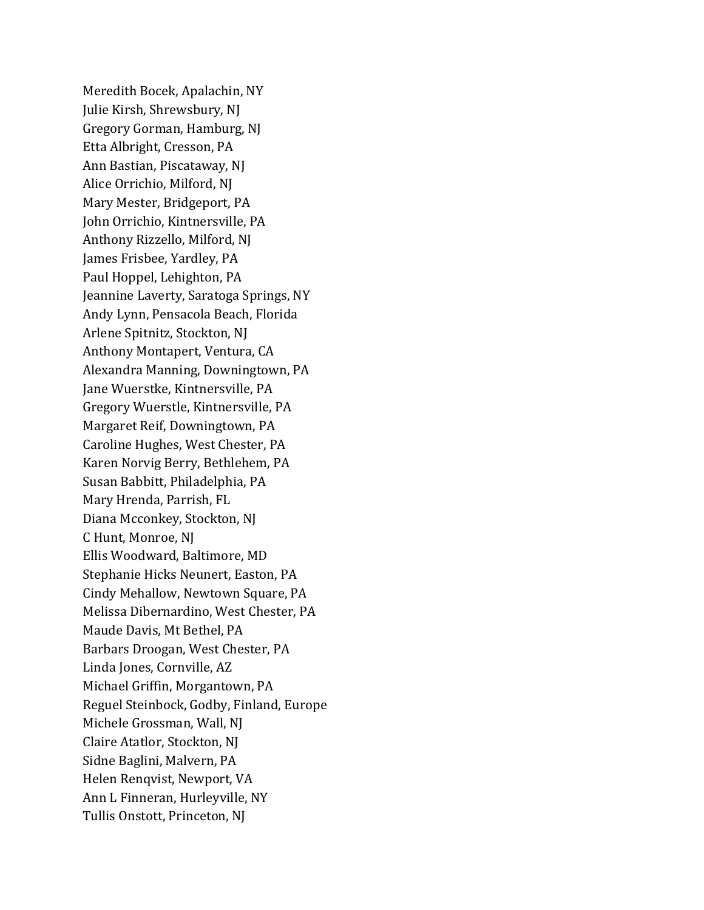Meredith Bocek, Apalachin, NY Julie Kirsh, Shrewsbury, NJ Gregory Gorman, Hamburg, NJ Etta Albright, Cresson, PA Ann Bastian, Piscataway, NJ Alice Orrichio, Milford, NJ Mary Mester, Bridgeport, PA John Orrichio, Kintnersville, PA Anthony Rizzello, Milford, NJ James Frisbee, Yardley, PA Paul Hoppel, Lehighton, PA Jeannine Laverty, Saratoga Springs, NY Andy Lynn, Pensacola Beach, Florida Arlene Spitnitz, Stockton, NJ Anthony Montapert, Ventura, CA Alexandra Manning, Downingtown, PA Jane Wuerstke, Kintnersville, PA Gregory Wuerstle, Kintnersville, PA Margaret Reif, Downingtown, PA Caroline Hughes, West Chester, PA Karen Norvig Berry, Bethlehem, PA Susan Babbitt, Philadelphia, PA Mary Hrenda, Parrish, FL Diana Mcconkey, Stockton, NJ C Hunt, Monroe, NJ Ellis Woodward, Baltimore, MD Stephanie Hicks Neunert, Easton, PA Cindy Mehallow, Newtown Square, PA Melissa Dibernardino, West Chester, PA Maude Davis, Mt Bethel, PA Barbars Droogan, West Chester, PA Linda Jones, Cornville, AZ Michael Griffin, Morgantown, PA Reguel Steinbock, Godby, Finland, Europe Michele Grossman, Wall, NJ Claire Atatlor, Stockton, NJ Sidne Baglini, Malvern, PA Helen Renqvist, Newport, VA Ann L Finneran, Hurleyville, NY Tullis Onstott, Princeton, NJ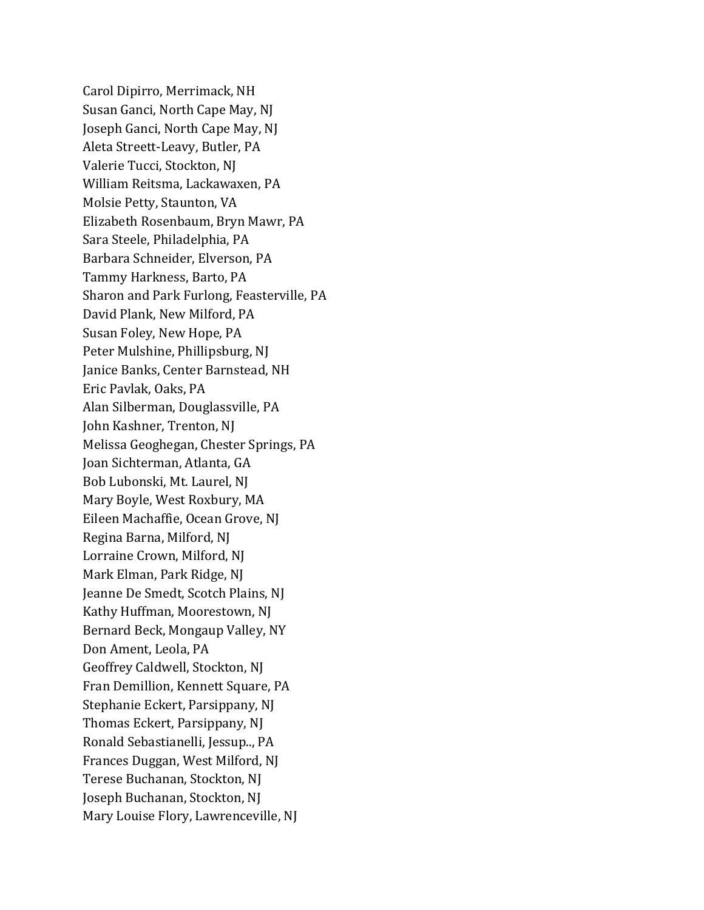Carol Dipirro, Merrimack, NH Susan Ganci, North Cape May, NJ Joseph Ganci, North Cape May, NJ Aleta Streett-Leavy, Butler, PA Valerie Tucci, Stockton, NJ William Reitsma, Lackawaxen, PA Molsie Petty, Staunton, VA Elizabeth Rosenbaum, Bryn Mawr, PA Sara Steele, Philadelphia, PA Barbara Schneider, Elverson, PA Tammy Harkness, Barto, PA Sharon and Park Furlong, Feasterville, PA David Plank, New Milford, PA Susan Foley, New Hope, PA Peter Mulshine, Phillipsburg, NJ Janice Banks, Center Barnstead, NH Eric Pavlak, Oaks, PA Alan Silberman, Douglassville, PA John Kashner, Trenton, NJ Melissa Geoghegan, Chester Springs, PA Joan Sichterman, Atlanta, GA Bob Lubonski, Mt. Laurel, NJ Mary Boyle, West Roxbury, MA Eileen Machaffie, Ocean Grove, NJ Regina Barna, Milford, NJ Lorraine Crown, Milford, NJ Mark Elman, Park Ridge, NJ Jeanne De Smedt, Scotch Plains, NJ Kathy Huffman, Moorestown, NJ Bernard Beck, Mongaup Valley, NY Don Ament, Leola, PA Geoffrey Caldwell, Stockton, NJ Fran Demillion, Kennett Square, PA Stephanie Eckert, Parsippany, NJ Thomas Eckert, Parsippany, NJ Ronald Sebastianelli, Jessup.., PA Frances Duggan, West Milford, NJ Terese Buchanan, Stockton, NJ Joseph Buchanan, Stockton, NJ Mary Louise Flory, Lawrenceville, NJ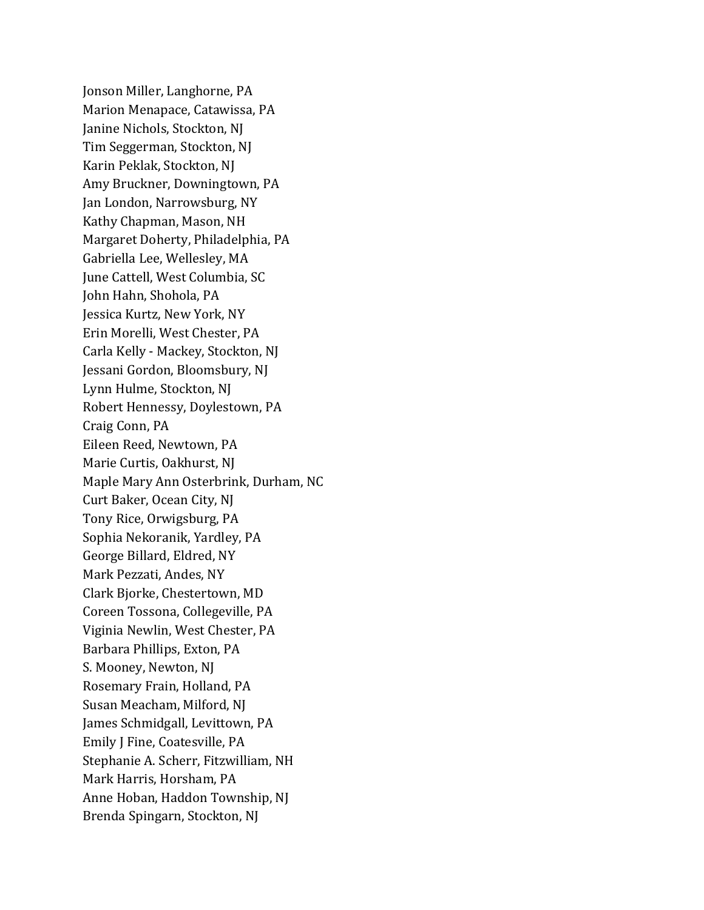Jonson Miller, Langhorne, PA Marion Menapace, Catawissa, PA Janine Nichols, Stockton, NJ Tim Seggerman, Stockton, NJ Karin Peklak, Stockton, NJ Amy Bruckner, Downingtown, PA Jan London, Narrowsburg, NY Kathy Chapman, Mason, NH Margaret Doherty, Philadelphia, PA Gabriella Lee, Wellesley, MA June Cattell, West Columbia, SC John Hahn, Shohola, PA Jessica Kurtz, New York, NY Erin Morelli, West Chester, PA Carla Kelly - Mackey, Stockton, NJ Jessani Gordon, Bloomsbury, NJ Lynn Hulme, Stockton, NJ Robert Hennessy, Doylestown, PA Craig Conn, PA Eileen Reed, Newtown, PA Marie Curtis, Oakhurst, NJ Maple Mary Ann Osterbrink, Durham, NC Curt Baker, Ocean City, NJ Tony Rice, Orwigsburg, PA Sophia Nekoranik, Yardley, PA George Billard, Eldred, NY Mark Pezzati, Andes, NY Clark Bjorke, Chestertown, MD Coreen Tossona, Collegeville, PA Viginia Newlin, West Chester, PA Barbara Phillips, Exton, PA S. Mooney, Newton, NJ Rosemary Frain, Holland, PA Susan Meacham, Milford, NJ James Schmidgall, Levittown, PA Emily J Fine, Coatesville, PA Stephanie A. Scherr, Fitzwilliam, NH Mark Harris, Horsham, PA Anne Hoban, Haddon Township, NJ Brenda Spingarn, Stockton, NJ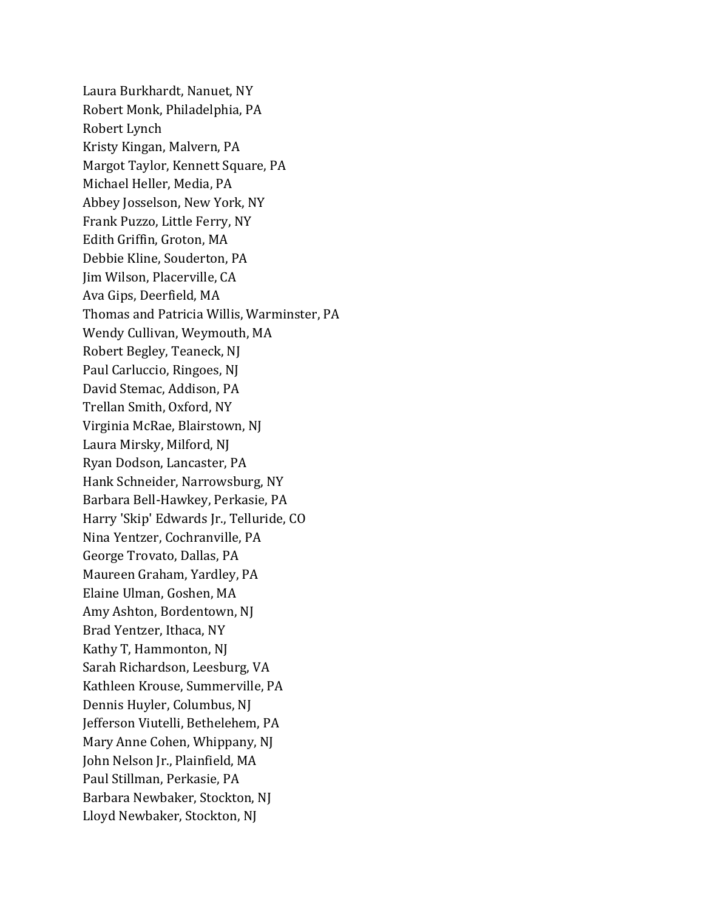Laura Burkhardt, Nanuet, NY Robert Monk, Philadelphia, PA Robert Lynch Kristy Kingan, Malvern, PA Margot Taylor, Kennett Square, PA Michael Heller, Media, PA Abbey Josselson, New York, NY Frank Puzzo, Little Ferry, NY Edith Griffin, Groton, MA Debbie Kline, Souderton, PA Jim Wilson, Placerville, CA Ava Gips, Deerfield, MA Thomas and Patricia Willis, Warminster, PA Wendy Cullivan, Weymouth, MA Robert Begley, Teaneck, NJ Paul Carluccio, Ringoes, NJ David Stemac, Addison, PA Trellan Smith, Oxford, NY Virginia McRae, Blairstown, NJ Laura Mirsky, Milford, NJ Ryan Dodson, Lancaster, PA Hank Schneider, Narrowsburg, NY Barbara Bell-Hawkey, Perkasie, PA Harry 'Skip' Edwards Jr., Telluride, CO Nina Yentzer, Cochranville, PA George Trovato, Dallas, PA Maureen Graham, Yardley, PA Elaine Ulman, Goshen, MA Amy Ashton, Bordentown, NJ Brad Yentzer, Ithaca, NY Kathy T, Hammonton, NJ Sarah Richardson, Leesburg, VA Kathleen Krouse, Summerville, PA Dennis Huyler, Columbus, NJ Jefferson Viutelli, Bethelehem, PA Mary Anne Cohen, Whippany, NJ John Nelson Jr., Plainfield, MA Paul Stillman, Perkasie, PA Barbara Newbaker, Stockton, NJ Lloyd Newbaker, Stockton, NJ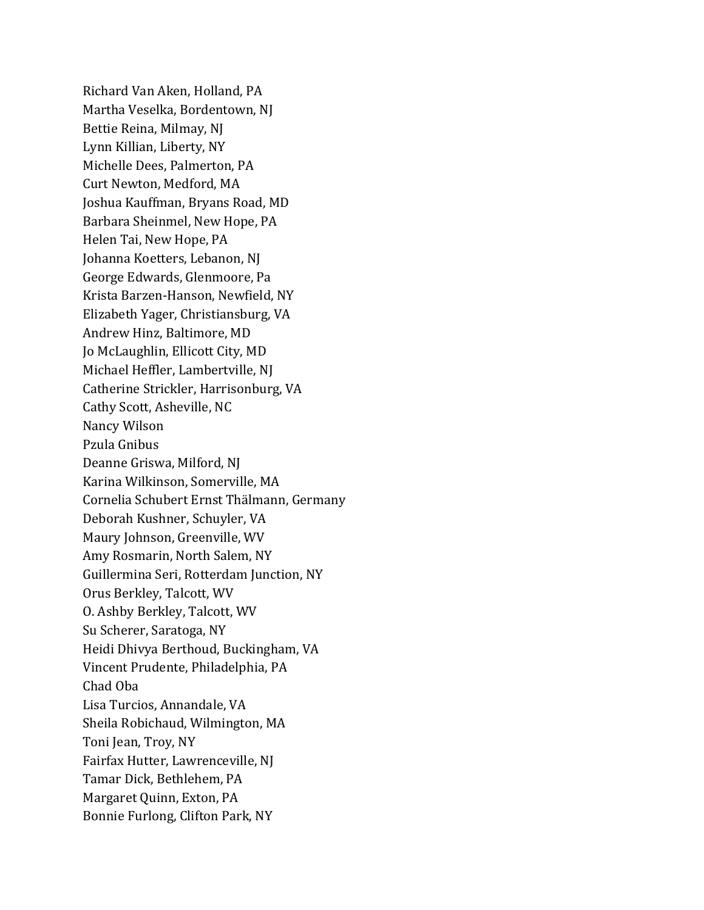Richard Van Aken, Holland, PA Martha Veselka, Bordentown, NJ Bettie Reina, Milmay, NJ Lynn Killian, Liberty, NY Michelle Dees, Palmerton, PA Curt Newton, Medford, MA Joshua Kauffman, Bryans Road, MD Barbara Sheinmel, New Hope, PA Helen Tai, New Hope, PA Johanna Koetters, Lebanon, NJ George Edwards, Glenmoore, Pa Krista Barzen-Hanson, Newfield, NY Elizabeth Yager, Christiansburg, VA Andrew Hinz, Baltimore, MD Jo McLaughlin, Ellicott City, MD Michael Heffler, Lambertville, NJ Catherine Strickler, Harrisonburg, VA Cathy Scott, Asheville, NC Nancy Wilson Pzula Gnibus Deanne Griswa, Milford, NJ Karina Wilkinson, Somerville, MA Cornelia Schubert Ernst Thälmann, Germany Deborah Kushner, Schuyler, VA Maury Johnson, Greenville, WV Amy Rosmarin, North Salem, NY Guillermina Seri, Rotterdam Junction, NY Orus Berkley, Talcott, WV O. Ashby Berkley, Talcott, WV Su Scherer, Saratoga, NY Heidi Dhivya Berthoud, Buckingham, VA Vincent Prudente, Philadelphia, PA Chad Oba Lisa Turcios, Annandale, VA Sheila Robichaud, Wilmington, MA Toni Jean, Troy, NY Fairfax Hutter, Lawrenceville, NJ Tamar Dick, Bethlehem, PA Margaret Quinn, Exton, PA Bonnie Furlong, Clifton Park, NY